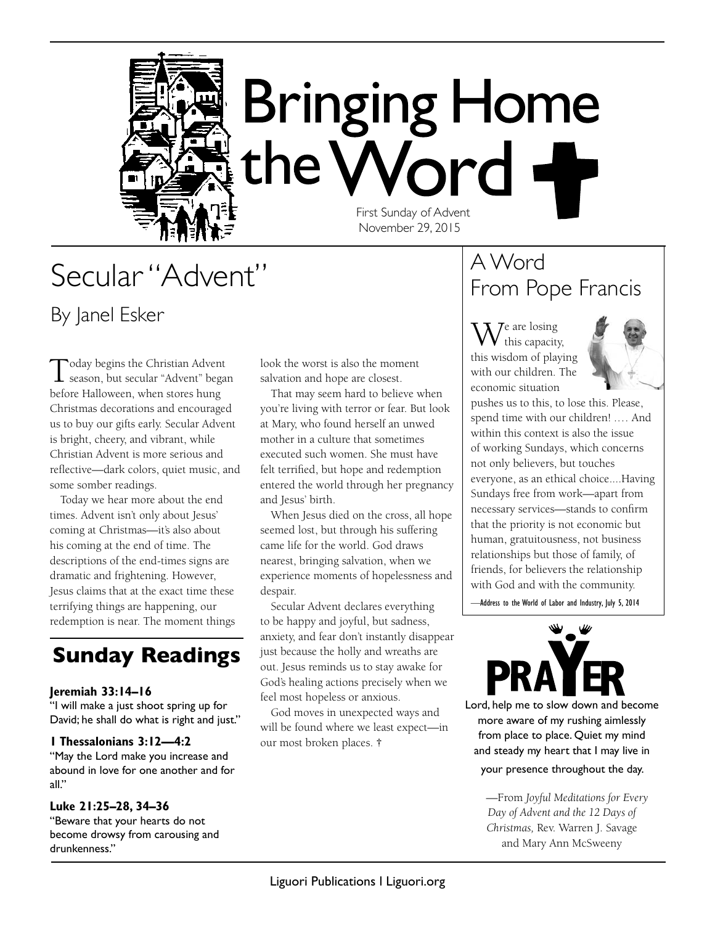

# Secular "Advent" By Janel Esker

Today begins the Christian Advent<br>
season, but secular "Advent" began before Halloween, when stores hung Christmas decorations and encouraged us to buy our gifts early. Secular Advent is bright, cheery, and vibrant, while Christian Advent is more serious and reflective—dark colors, quiet music, and some somber readings.

Today we hear more about the end times. Advent isn't only about Jesus' coming at Christmas—it's also about his coming at the end of time. The descriptions of the end-times signs are dramatic and frightening. However, Jesus claims that at the exact time these terrifying things are happening, our redemption is near. The moment things

### **Sunday Readings**

#### **Jeremiah 33:14–16**

"I will make a just shoot spring up for David; he shall do what is right and just."

#### **1 Thessalonians 3:12—4:2**

"May the Lord make you increase and abound in love for one another and for all."

#### **Luke 21:25–28, 34–36**

"Beware that your hearts do not become drowsy from carousing and drunkenness."

look the worst is also the moment salvation and hope are closest.

That may seem hard to believe when you're living with terror or fear. But look at Mary, who found herself an unwed mother in a culture that sometimes executed such women. She must have felt terrified, but hope and redemption entered the world through her pregnancy and Jesus' birth.

When Jesus died on the cross, all hope seemed lost, but through his suffering came life for the world. God draws nearest, bringing salvation, when we experience moments of hopelessness and despair.

Secular Advent declares everything to be happy and joyful, but sadness, anxiety, and fear don't instantly disappear just because the holly and wreaths are out. Jesus reminds us to stay awake for God's healing actions precisely when we feel most hopeless or anxious.

God moves in unexpected ways and will be found where we least expect—in our most broken places. **†**

### A Word From Pope Francis

**7**e are losing this capacity, this wisdom of playing with our children. The economic situation



pushes us to this, to lose this. Please, spend time with our children! .… And within this context is also the issue of working Sundays, which concerns not only believers, but touches everyone, as an ethical choice....Having Sundays free from work—apart from necessary services—stands to confirm that the priority is not economic but human, gratuitousness, not business relationships but those of family, of friends, for believers the relationship with God and with the community.

—Address to the World of Labor and Industry, July 5, 2014



Lord, help me to slow down and become more aware of my rushing aimlessly from place to place. Quiet my mind and steady my heart that I may live in

#### your presence throughout the day.

—From *Joyful Meditations for Every Day of Advent and the 12 Days of Christmas,* Rev. Warren J. Savage and Mary Ann McSweeny